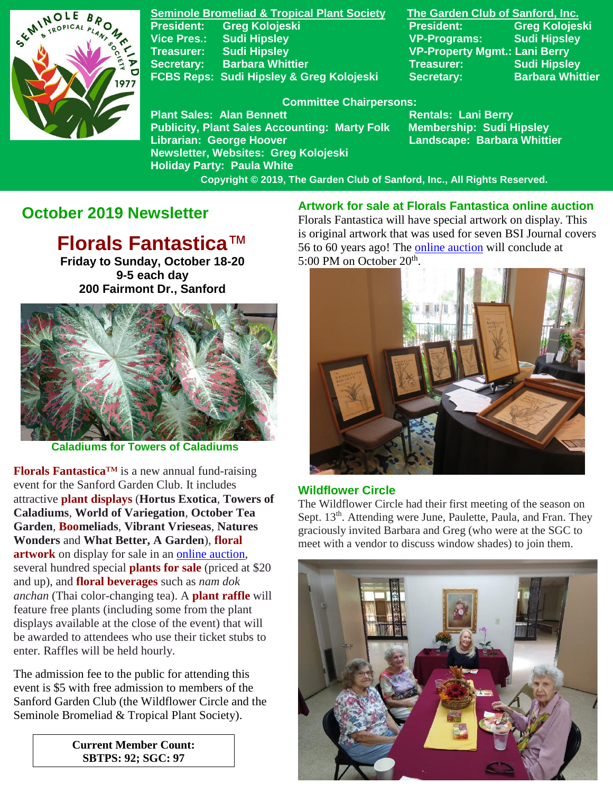

**Seminole Bromeliad & Tropical Plant Society The Garden Club of Sanford, Inc. President: Greg Kolojeski President: Greg Kolojeski Vice Pres.: Sudi Hipsley VP-Programs: Sudi Hipsley Treasurer: Sudi Hipsley VP-Property Mgmt.: Lani Berry Secretary:** Barbara Whittier **Network Treasurer:** Sudi Hipsley FCBS Reps: Sudi Hipsley & Greg Kolojeski Secretary: Barbara Whittier

**Newsletter, Websites: Greg Kolojeski**

**Holiday Party: Paula White** 

#### **Committee Chairpersons:**

**Plant Sales: Alan Bennett** Rentals: Lani Berry **Publicity, Plant Sales Accounting: Marty Folk Membership: Sudi Hipsley Librarian: George Hoover Landscape: Barbara Whittier**

 **Copyright © 2019, The Garden Club of Sanford, Inc., All Rights Reserved.**

# **October 2019 Newsletter**

# **Florals Fantastica**™

**Friday to Sunday, October 18-20 9-5 each day 200 Fairmont Dr., Sanford**



 **Caladiums for Towers of Caladiums**

**Florals Fantastica**™ is a new annual fund-raising event for the Sanford Garden Club. It includes attractive **plant displays** (**Hortus Exotica**, **Towers of Caladiums**, **World of Variegation**, **October Tea Garden**, **Boomeliads**, **Vibrant Vrieseas**, **Natures Wonders** and **What Better, A Garden**), **floral artwork** on display for sale in an online [auction,](https://www.32auctions.com/sgc2019) several hundred special **plants for sale** (priced at \$20 and up), and **floral beverages** such as *nam dok anchan* (Thai color-changing tea). A **plant raffle** will feature free plants (including some from the plant displays available at the close of the event) that will be awarded to attendees who use their ticket stubs to enter. Raffles will be held hourly.

The admission fee to the public for attending this event is \$5 with free admission to members of the Sanford Garden Club (the Wildflower Circle and the Seminole Bromeliad & Tropical Plant Society).

> **Current Member Count: SBTPS: 92; SGC: 97**

**Artwork for sale at Florals Fantastica online auction** Florals Fantastica will have special artwork on display. This is original artwork that was used for seven BSI Journal covers 56 to 60 years ago! The online [auction](https://www.32auctions.com/sgc2019) will conclude at 5:00 PM on October 20<sup>th</sup>.



#### **Wildflower Circle**

The Wildflower Circle had their first meeting of the season on Sept. 13<sup>th</sup>. Attending were June, Paulette, Paula, and Fran. They graciously invited Barbara and Greg (who were at the SGC to meet with a vendor to discuss window shades) to join them.